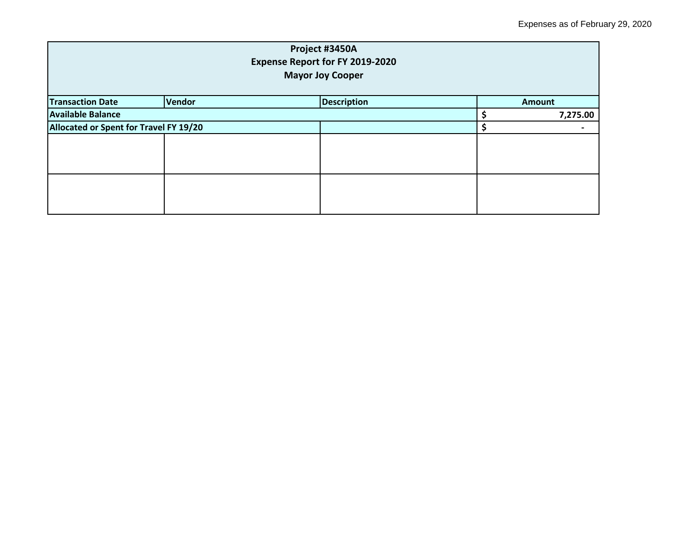| Project #3450A<br><b>Expense Report for FY 2019-2020</b><br><b>Mayor Joy Cooper</b> |        |                    |  |                |  |
|-------------------------------------------------------------------------------------|--------|--------------------|--|----------------|--|
| <b>Transaction Date</b>                                                             | Vendor | <b>Description</b> |  | <b>Amount</b>  |  |
| <b>Available Balance</b>                                                            |        |                    |  | 7,275.00       |  |
| Allocated or Spent for Travel FY 19/20                                              |        |                    |  | $\blacksquare$ |  |
|                                                                                     |        |                    |  |                |  |
|                                                                                     |        |                    |  |                |  |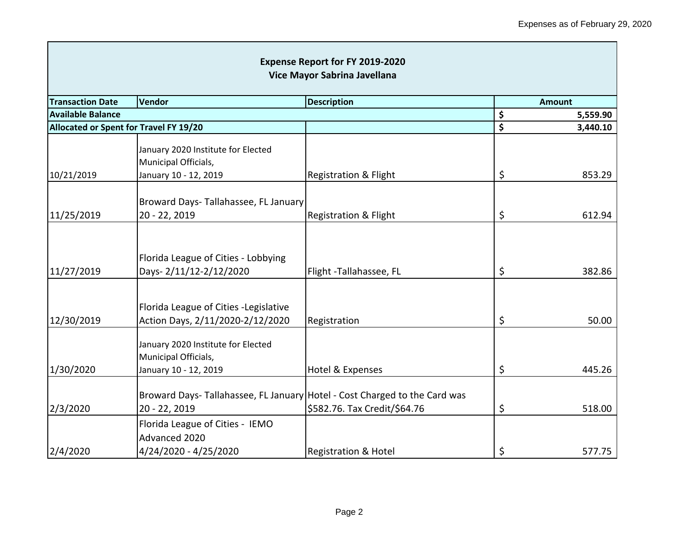٦

| <b>Expense Report for FY 2019-2020</b><br>Vice Mayor Sabrina Javellana |                                                                                     |                                                                           |               |          |  |
|------------------------------------------------------------------------|-------------------------------------------------------------------------------------|---------------------------------------------------------------------------|---------------|----------|--|
| <b>Transaction Date</b>                                                | Vendor<br><b>Description</b>                                                        |                                                                           | <b>Amount</b> |          |  |
| <b>Available Balance</b>                                               | \$                                                                                  | 5,559.90                                                                  |               |          |  |
| Allocated or Spent for Travel FY 19/20                                 |                                                                                     |                                                                           | \$            | 3,440.10 |  |
| 10/21/2019                                                             | January 2020 Institute for Elected<br>Municipal Officials,<br>January 10 - 12, 2019 | Registration & Flight                                                     | \$            | 853.29   |  |
|                                                                        | Broward Days- Tallahassee, FL January                                               |                                                                           |               |          |  |
| 11/25/2019                                                             | 20 - 22, 2019                                                                       | Registration & Flight                                                     | \$            | 612.94   |  |
| 11/27/2019                                                             | Florida League of Cities - Lobbying<br>Days-2/11/12-2/12/2020                       | Flight -Tallahassee, FL                                                   | \$            | 382.86   |  |
| 12/30/2019                                                             | Florida League of Cities - Legislative<br>Action Days, 2/11/2020-2/12/2020          | Registration                                                              | \$            | 50.00    |  |
| 1/30/2020                                                              | January 2020 Institute for Elected<br>Municipal Officials,<br>January 10 - 12, 2019 | Hotel & Expenses                                                          | \$            | 445.26   |  |
|                                                                        |                                                                                     | Broward Days-Tallahassee, FL January Hotel - Cost Charged to the Card was |               | 518.00   |  |
|                                                                        | Florida League of Cities - IEMO<br>Advanced 2020                                    |                                                                           |               | 577.75   |  |
| 2/3/2020<br>2/4/2020                                                   | 20 - 22, 2019<br>4/24/2020 - 4/25/2020                                              | \$582.76. Tax Credit/\$64.76<br><b>Registration &amp; Hotel</b>           | \$<br>\$      |          |  |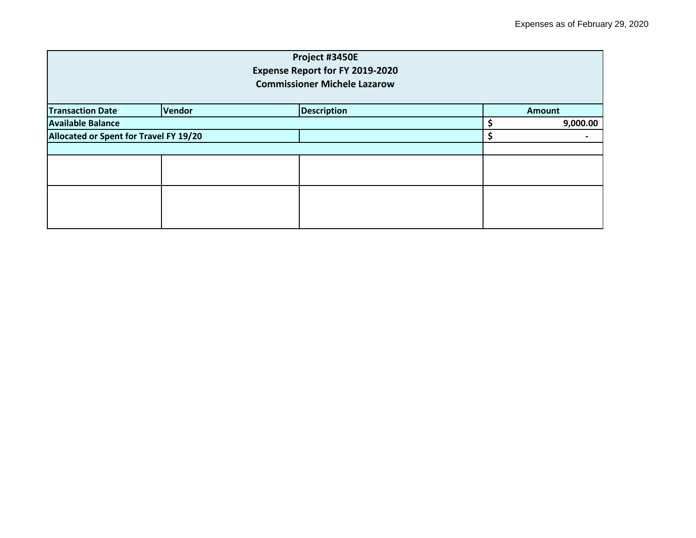| Project #3450E<br><b>Expense Report for FY 2019-2020</b><br><b>Commissioner Michele Lazarow</b> |        |  |                    |  |   |               |
|-------------------------------------------------------------------------------------------------|--------|--|--------------------|--|---|---------------|
| <b>Transaction Date</b>                                                                         | Vendor |  | <b>Description</b> |  |   | <b>Amount</b> |
| <b>Available Balance</b>                                                                        |        |  |                    |  |   | 9,000.00      |
| Allocated or Spent for Travel FY 19/20                                                          |        |  |                    |  | - |               |
|                                                                                                 |        |  |                    |  |   |               |
|                                                                                                 |        |  |                    |  |   |               |
|                                                                                                 |        |  |                    |  |   |               |
|                                                                                                 |        |  |                    |  |   |               |
|                                                                                                 |        |  |                    |  |   |               |
|                                                                                                 |        |  |                    |  |   |               |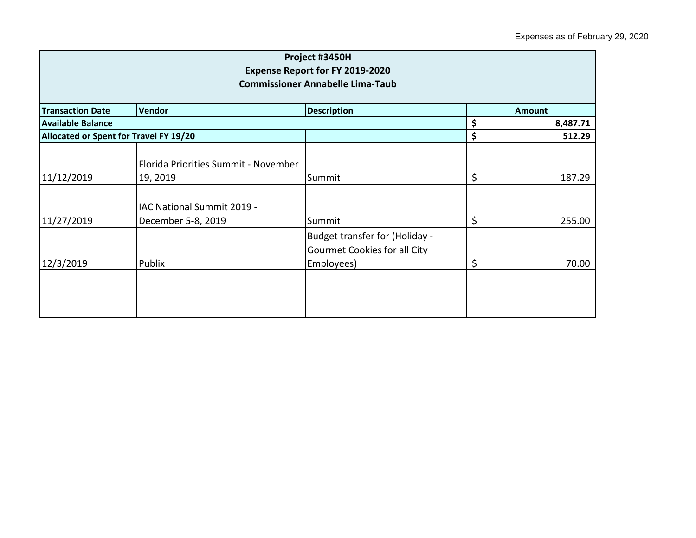| Project #3450H<br><b>Expense Report for FY 2019-2020</b><br><b>Commissioner Annabelle Lima-Taub</b> |                                                  |                                                                                     |               |          |  |
|-----------------------------------------------------------------------------------------------------|--------------------------------------------------|-------------------------------------------------------------------------------------|---------------|----------|--|
| <b>Transaction Date</b>                                                                             | Vendor                                           | <b>Description</b>                                                                  | <b>Amount</b> |          |  |
| <b>Available Balance</b>                                                                            |                                                  |                                                                                     | \$            | 8,487.71 |  |
|                                                                                                     | Allocated or Spent for Travel FY 19/20           |                                                                                     | \$            | 512.29   |  |
| 11/12/2019                                                                                          | Florida Priorities Summit - November<br>19, 2019 | Summit                                                                              | \$            | 187.29   |  |
| 11/27/2019                                                                                          | IAC National Summit 2019 -<br>December 5-8, 2019 | Summit                                                                              | \$            | 255.00   |  |
| 12/3/2019                                                                                           | Publix                                           | Budget transfer for (Holiday -<br><b>Gourmet Cookies for all City</b><br>Employees) | \$            | 70.00    |  |
|                                                                                                     |                                                  |                                                                                     |               |          |  |